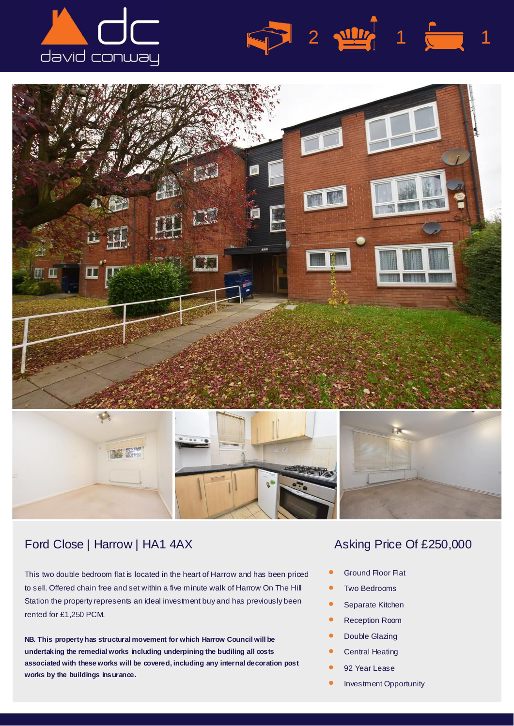





## Ford Close | Harrow | HA1 4AX Asking Price Of £250,000

This two double bedroom flat is located in the heart of Harrow and has been priced to sell. Offered chain free and set within a five minute walk of Harrow On The Hill Station the property represents an ideal investment buy and has previously been rented for £1,250 PCM.

**NB. This property has structural movement for which Harrow Council will be undertaking the remedial works including underpining the budiling all costs associated with these works will be covered, including any internal decoration post works by the buildings insurance.**

 $2 \frac{100}{2}$  1  $\frac{1}{2}$  1

- *•* Ground Floor Flat
- *•* Two Bedrooms
- *•* Separate Kitchen
- *•* Reception Room
- *•* Double Glazing
- *•* Central Heating
- *•* 92 Year Lease

Double Glazing

*•* Investment Opportunity